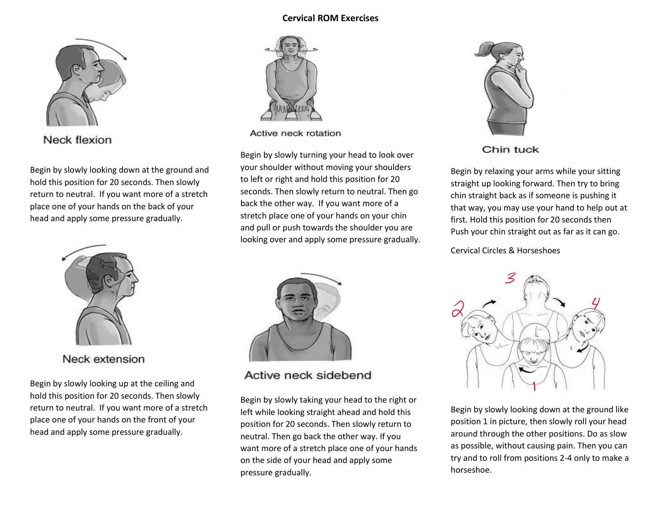## **Cervical ROM Exercises**



Neck flexion

Begin by slowly looking down at the ground and hold this position for 20 seconds. Then slowly return to neutral. If you want more of a stretch place one of your hands on the back of your head and apply some pressure gradually.



Neck extension

Begin by slowly looking up at the ceiling and hold this position for 20 seconds. Then slowly return to neutral. If you want more of a stretch place one of your hands on the front of your head and apply some pressure gradually.



Active neck rotation

Begin by slowly turning your head to look over your shoulder without moving your shoulders to left or right and hold this position for 20 seconds. Then slowly return to neutral. Then go back the other way. If you want more of a stretch place one of your hands on your chin and pull or push towards the shoulder you are looking over and apply some pressure gradually.



Active neck sidebend

Begin by slowly taking your head to the right or left while looking straight ahead and hold this position for 20 seconds. Then slowly return to neutral. Then go back the other way. If you want more of a stretch place one of your hands on the side of your head and apply some pressure gradually.



Chin tuck

Begin by relaxing your arms while your sitting straight up looking forward. Then try to bring chin straight back as if someone is pushing it that way, you may use your hand to help out at first. Hold this position for 20 seconds then Push your chin straight out as far as it can go.

Cervical Circles & Horseshoes



Begin by slowly looking down at the ground like position 1 in picture, then slowly roll your head around through the other positions. Do as slow as possible, without causing pain. Then you can try and to roll from positions 2-4 only to make a horseshoe.